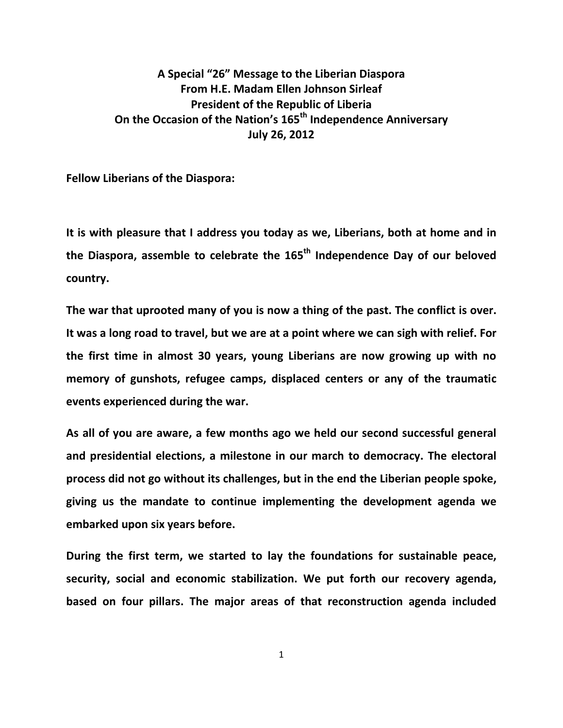## **A Special "26" Message to the Liberian Diaspora From H.E. Madam Ellen Johnson Sirleaf President of the Republic of Liberia On the Occasion of the Nation's 165th Independence Anniversary July 26, 2012**

**Fellow Liberians of the Diaspora:**

**It is with pleasure that I address you today as we, Liberians, both at home and in the Diaspora, assemble to celebrate the 165th Independence Day of our beloved country.**

**The war that uprooted many of you is now a thing of the past. The conflict is over. It was a long road to travel, but we are at a point where we can sigh with relief. For the first time in almost 30 years, young Liberians are now growing up with no memory of gunshots, refugee camps, displaced centers or any of the traumatic events experienced during the war.**

**As all of you are aware, a few months ago we held our second successful general and presidential elections, a milestone in our march to democracy. The electoral process did not go without its challenges, but in the end the Liberian people spoke, giving us the mandate to continue implementing the development agenda we embarked upon six years before.**

**During the first term, we started to lay the foundations for sustainable peace, security, social and economic stabilization. We put forth our recovery agenda, based on four pillars. The major areas of that reconstruction agenda included** 

1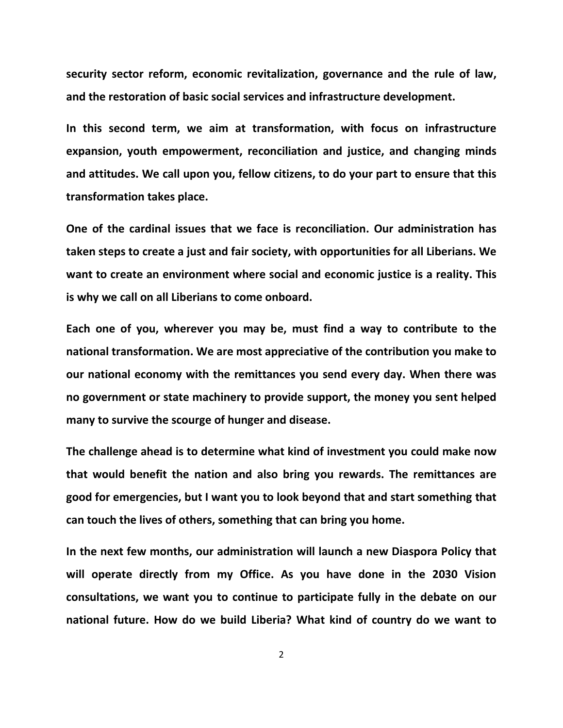**security sector reform, economic revitalization, governance and the rule of law, and the restoration of basic social services and infrastructure development.**

**In this second term, we aim at transformation, with focus on infrastructure expansion, youth empowerment, reconciliation and justice, and changing minds and attitudes. We call upon you, fellow citizens, to do your part to ensure that this transformation takes place.** 

**One of the cardinal issues that we face is reconciliation. Our administration has taken steps to create a just and fair society, with opportunities for all Liberians. We want to create an environment where social and economic justice is a reality. This is why we call on all Liberians to come onboard.**

**Each one of you, wherever you may be, must find a way to contribute to the national transformation. We are most appreciative of the contribution you make to our national economy with the remittances you send every day. When there was no government or state machinery to provide support, the money you sent helped many to survive the scourge of hunger and disease.**

**The challenge ahead is to determine what kind of investment you could make now that would benefit the nation and also bring you rewards. The remittances are good for emergencies, but I want you to look beyond that and start something that can touch the lives of others, something that can bring you home.**

**In the next few months, our administration will launch a new Diaspora Policy that will operate directly from my Office. As you have done in the 2030 Vision consultations, we want you to continue to participate fully in the debate on our national future. How do we build Liberia? What kind of country do we want to** 

2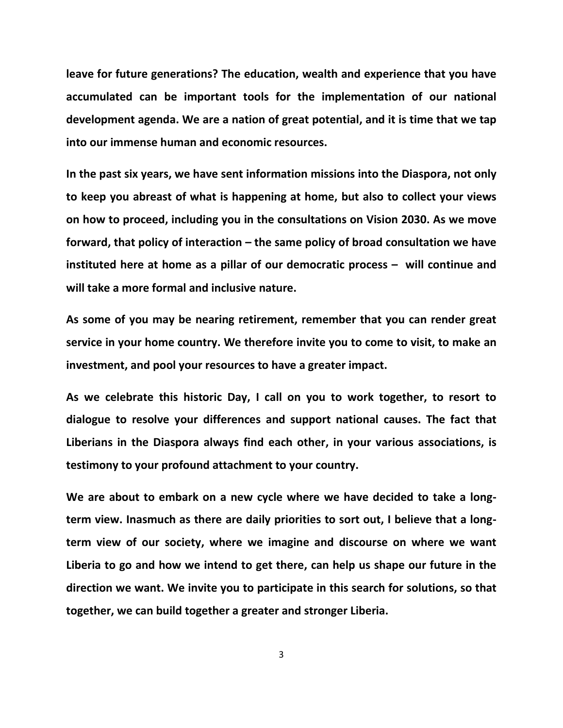**leave for future generations? The education, wealth and experience that you have accumulated can be important tools for the implementation of our national development agenda. We are a nation of great potential, and it is time that we tap into our immense human and economic resources.**

**In the past six years, we have sent information missions into the Diaspora, not only to keep you abreast of what is happening at home, but also to collect your views on how to proceed, including you in the consultations on Vision 2030. As we move forward, that policy of interaction – the same policy of broad consultation we have instituted here at home as a pillar of our democratic process – will continue and will take a more formal and inclusive nature.** 

**As some of you may be nearing retirement, remember that you can render great service in your home country. We therefore invite you to come to visit, to make an investment, and pool your resources to have a greater impact.**

**As we celebrate this historic Day, I call on you to work together, to resort to dialogue to resolve your differences and support national causes. The fact that Liberians in the Diaspora always find each other, in your various associations, is testimony to your profound attachment to your country.** 

**We are about to embark on a new cycle where we have decided to take a longterm view. Inasmuch as there are daily priorities to sort out, I believe that a longterm view of our society, where we imagine and discourse on where we want Liberia to go and how we intend to get there, can help us shape our future in the direction we want. We invite you to participate in this search for solutions, so that together, we can build together a greater and stronger Liberia.**

3